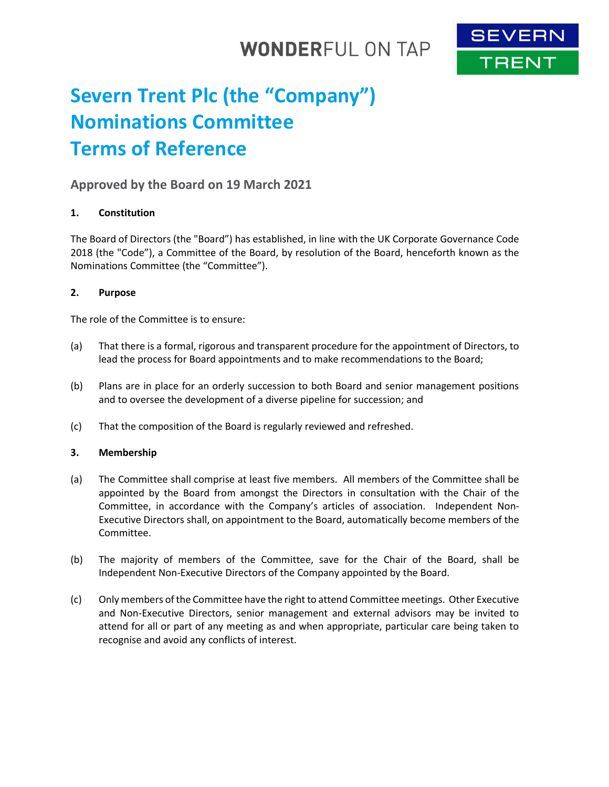## **WONDERFUL ON TAP**



# **Severn Trent Plc (the "Company") Nominations Committee Terms of Reference**

### **Approved by the Board on 19 March 2021**

#### **1. Constitution**

The Board of Directors (the "Board") has established, in line with the UK Corporate Governance Code 2018 (the "Code"), a Committee of the Board, by resolution of the Board, henceforth known as the Nominations Committee (the "Committee").

#### **2. Purpose**

The role of the Committee is to ensure:

- (a) That there is a formal, rigorous and transparent procedure for the appointment of Directors, to lead the process for Board appointments and to make recommendations to the Board;
- (b) Plans are in place for an orderly succession to both Board and senior management positions and to oversee the development of a diverse pipeline for succession; and
- (c) That the composition of the Board is regularly reviewed and refreshed.

#### **3. Membership**

- (a) The Committee shall comprise at least five members. All members of the Committee shall be appointed by the Board from amongst the Directors in consultation with the Chair of the Committee, in accordance with the Company's articles of association. Independent Non-Executive Directors shall, on appointment to the Board, automatically become members of the Committee.
- (b) The majority of members of the Committee, save for the Chair of the Board, shall be Independent Non-Executive Directors of the Company appointed by the Board.
- (c) Only members of the Committee have the right to attend Committee meetings. Other Executive and Non-Executive Directors, senior management and external advisors may be invited to attend for all or part of any meeting as and when appropriate, particular care being taken to recognise and avoid any conflicts of interest.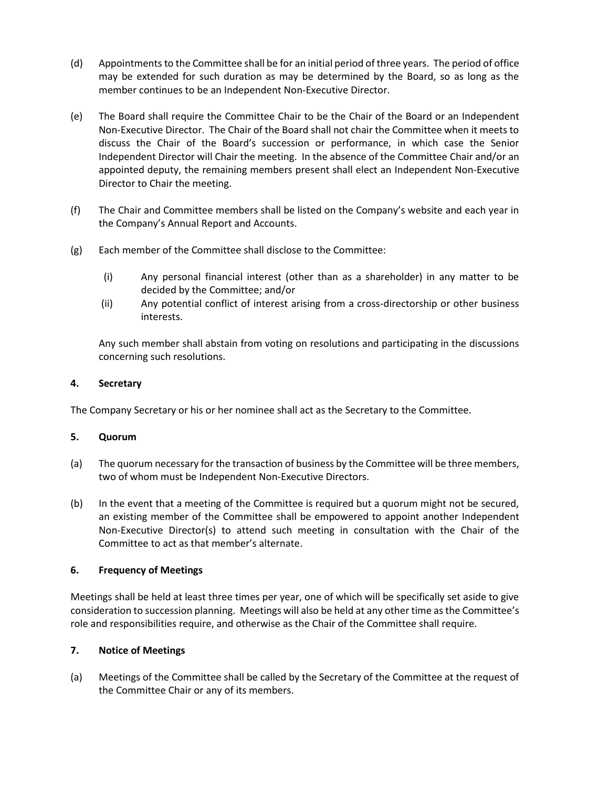- (d) Appointments to the Committee shall be for an initial period of three years. The period of office may be extended for such duration as may be determined by the Board, so as long as the member continues to be an Independent Non-Executive Director.
- (e) The Board shall require the Committee Chair to be the Chair of the Board or an Independent Non-Executive Director. The Chair of the Board shall not chair the Committee when it meets to discuss the Chair of the Board's succession or performance, in which case the Senior Independent Director will Chair the meeting. In the absence of the Committee Chair and/or an appointed deputy, the remaining members present shall elect an Independent Non-Executive Director to Chair the meeting.
- (f) The Chair and Committee members shall be listed on the Company's website and each year in the Company's Annual Report and Accounts.
- (g) Each member of the Committee shall disclose to the Committee:
	- (i) Any personal financial interest (other than as a shareholder) in any matter to be decided by the Committee; and/or
	- (ii) Any potential conflict of interest arising from a cross-directorship or other business interests.

Any such member shall abstain from voting on resolutions and participating in the discussions concerning such resolutions.

#### **4. Secretary**

The Company Secretary or his or her nominee shall act as the Secretary to the Committee.

#### **5. Quorum**

- (a) The quorum necessary for the transaction of business by the Committee will be three members, two of whom must be Independent Non-Executive Directors.
- (b) In the event that a meeting of the Committee is required but a quorum might not be secured, an existing member of the Committee shall be empowered to appoint another Independent Non-Executive Director(s) to attend such meeting in consultation with the Chair of the Committee to act as that member's alternate.

#### **6. Frequency of Meetings**

Meetings shall be held at least three times per year, one of which will be specifically set aside to give consideration to succession planning. Meetings will also be held at any other time as the Committee's role and responsibilities require, and otherwise as the Chair of the Committee shall require.

#### **7. Notice of Meetings**

(a) Meetings of the Committee shall be called by the Secretary of the Committee at the request of the Committee Chair or any of its members.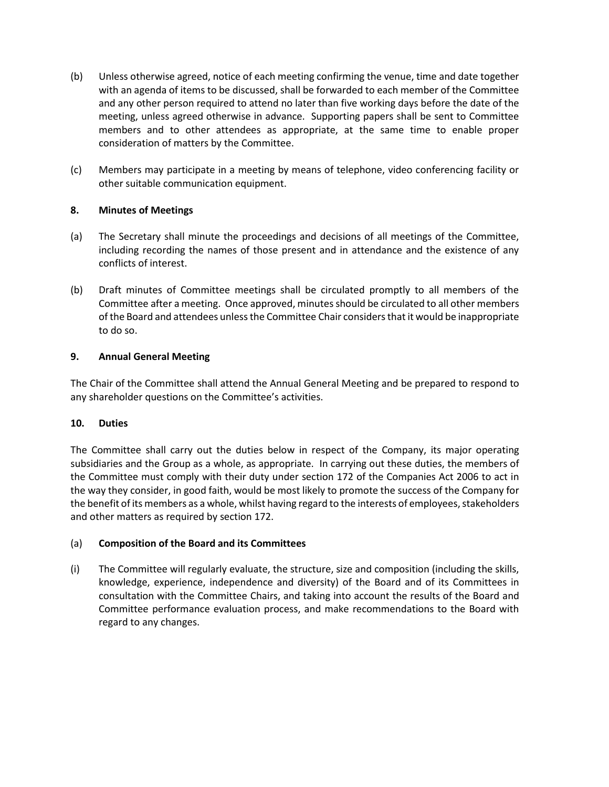- (b) Unless otherwise agreed, notice of each meeting confirming the venue, time and date together with an agenda of items to be discussed, shall be forwarded to each member of the Committee and any other person required to attend no later than five working days before the date of the meeting, unless agreed otherwise in advance. Supporting papers shall be sent to Committee members and to other attendees as appropriate, at the same time to enable proper consideration of matters by the Committee.
- (c) Members may participate in a meeting by means of telephone, video conferencing facility or other suitable communication equipment.

#### **8. Minutes of Meetings**

- (a) The Secretary shall minute the proceedings and decisions of all meetings of the Committee, including recording the names of those present and in attendance and the existence of any conflicts of interest.
- (b) Draft minutes of Committee meetings shall be circulated promptly to all members of the Committee after a meeting. Once approved, minutes should be circulated to all other members of the Board and attendees unless the Committee Chair considers that it would be inappropriate to do so.

#### **9. Annual General Meeting**

The Chair of the Committee shall attend the Annual General Meeting and be prepared to respond to any shareholder questions on the Committee's activities.

#### **10. Duties**

The Committee shall carry out the duties below in respect of the Company, its major operating subsidiaries and the Group as a whole, as appropriate. In carrying out these duties, the members of the Committee must comply with their duty under section 172 of the Companies Act 2006 to act in the way they consider, in good faith, would be most likely to promote the success of the Company for the benefit of its members as a whole, whilst having regard to the interests of employees, stakeholders and other matters as required by section 172.

#### (a) **Composition of the Board and its Committees**

(i) The Committee will regularly evaluate, the structure, size and composition (including the skills, knowledge, experience, independence and diversity) of the Board and of its Committees in consultation with the Committee Chairs, and taking into account the results of the Board and Committee performance evaluation process, and make recommendations to the Board with regard to any changes.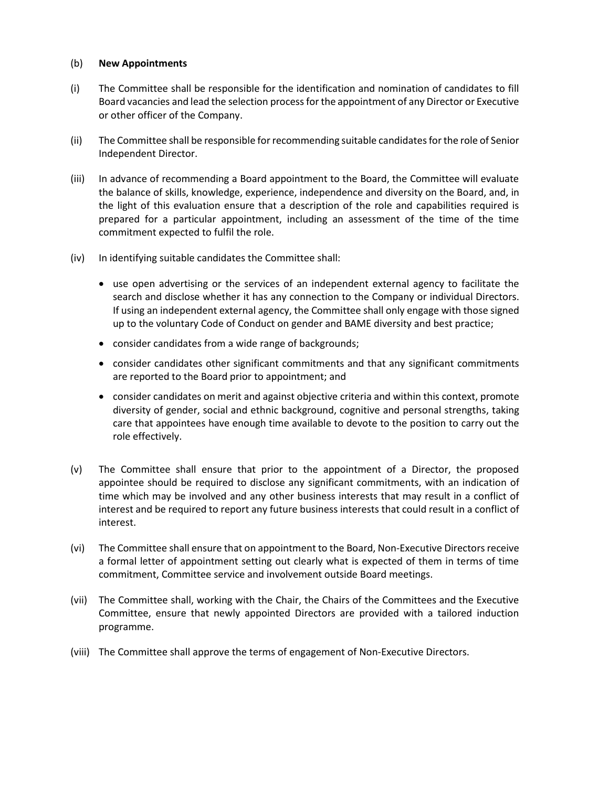#### (b) **New Appointments**

- (i) The Committee shall be responsible for the identification and nomination of candidates to fill Board vacancies and lead the selection process for the appointment of any Director or Executive or other officer of the Company.
- (ii) The Committee shall be responsible for recommending suitable candidates for the role of Senior Independent Director.
- (iii) In advance of recommending a Board appointment to the Board, the Committee will evaluate the balance of skills, knowledge, experience, independence and diversity on the Board, and, in the light of this evaluation ensure that a description of the role and capabilities required is prepared for a particular appointment, including an assessment of the time of the time commitment expected to fulfil the role.
- (iv) In identifying suitable candidates the Committee shall:
	- use open advertising or the services of an independent external agency to facilitate the search and disclose whether it has any connection to the Company or individual Directors. If using an independent external agency, the Committee shall only engage with those signed up to the voluntary Code of Conduct on gender and BAME diversity and best practice;
	- consider candidates from a wide range of backgrounds;
	- consider candidates other significant commitments and that any significant commitments are reported to the Board prior to appointment; and
	- consider candidates on merit and against objective criteria and within this context, promote diversity of gender, social and ethnic background, cognitive and personal strengths, taking care that appointees have enough time available to devote to the position to carry out the role effectively.
- (v) The Committee shall ensure that prior to the appointment of a Director, the proposed appointee should be required to disclose any significant commitments, with an indication of time which may be involved and any other business interests that may result in a conflict of interest and be required to report any future business interests that could result in a conflict of interest.
- (vi) The Committee shall ensure that on appointment to the Board, Non-Executive Directors receive a formal letter of appointment setting out clearly what is expected of them in terms of time commitment, Committee service and involvement outside Board meetings.
- (vii) The Committee shall, working with the Chair, the Chairs of the Committees and the Executive Committee, ensure that newly appointed Directors are provided with a tailored induction programme.
- (viii) The Committee shall approve the terms of engagement of Non-Executive Directors.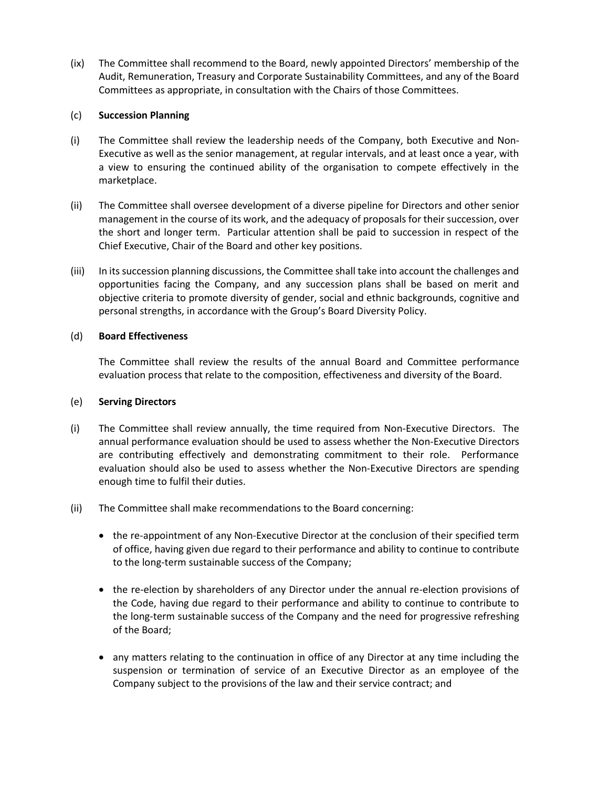(ix) The Committee shall recommend to the Board, newly appointed Directors' membership of the Audit, Remuneration, Treasury and Corporate Sustainability Committees, and any of the Board Committees as appropriate, in consultation with the Chairs of those Committees.

#### (c) **Succession Planning**

- (i) The Committee shall review the leadership needs of the Company, both Executive and Non-Executive as well as the senior management, at regular intervals, and at least once a year, with a view to ensuring the continued ability of the organisation to compete effectively in the marketplace.
- (ii) The Committee shall oversee development of a diverse pipeline for Directors and other senior management in the course of its work, and the adequacy of proposals for their succession, over the short and longer term. Particular attention shall be paid to succession in respect of the Chief Executive, Chair of the Board and other key positions.
- (iii) In itssuccession planning discussions, the Committee shall take into account the challenges and opportunities facing the Company, and any succession plans shall be based on merit and objective criteria to promote diversity of gender, social and ethnic backgrounds, cognitive and personal strengths, in accordance with the Group's Board Diversity Policy.

#### (d) **Board Effectiveness**

The Committee shall review the results of the annual Board and Committee performance evaluation process that relate to the composition, effectiveness and diversity of the Board.

#### (e) **Serving Directors**

- (i) The Committee shall review annually, the time required from Non-Executive Directors. The annual performance evaluation should be used to assess whether the Non-Executive Directors are contributing effectively and demonstrating commitment to their role. Performance evaluation should also be used to assess whether the Non-Executive Directors are spending enough time to fulfil their duties.
- (ii) The Committee shall make recommendations to the Board concerning:
	- the re-appointment of any Non-Executive Director at the conclusion of their specified term of office, having given due regard to their performance and ability to continue to contribute to the long-term sustainable success of the Company;
	- the re-election by shareholders of any Director under the annual re-election provisions of the Code, having due regard to their performance and ability to continue to contribute to the long-term sustainable success of the Company and the need for progressive refreshing of the Board;
	- any matters relating to the continuation in office of any Director at any time including the suspension or termination of service of an Executive Director as an employee of the Company subject to the provisions of the law and their service contract; and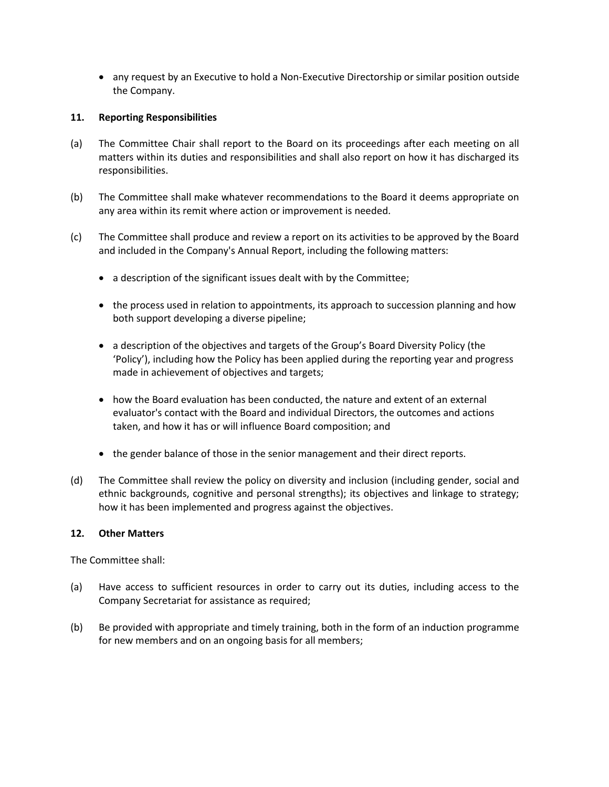any request by an Executive to hold a Non-Executive Directorship or similar position outside the Company.

#### **11. Reporting Responsibilities**

- (a) The Committee Chair shall report to the Board on its proceedings after each meeting on all matters within its duties and responsibilities and shall also report on how it has discharged its responsibilities.
- (b) The Committee shall make whatever recommendations to the Board it deems appropriate on any area within its remit where action or improvement is needed.
- (c) The Committee shall produce and review a report on its activities to be approved by the Board and included in the Company's Annual Report, including the following matters:
	- a description of the significant issues dealt with by the Committee;
	- the process used in relation to appointments, its approach to succession planning and how both support developing a diverse pipeline;
	- a description of the objectives and targets of the Group's Board Diversity Policy (the 'Policy'), including how the Policy has been applied during the reporting year and progress made in achievement of objectives and targets;
	- how the Board evaluation has been conducted, the nature and extent of an external evaluator's contact with the Board and individual Directors, the outcomes and actions taken, and how it has or will influence Board composition; and
	- the gender balance of those in the senior management and their direct reports.
- (d) The Committee shall review the policy on diversity and inclusion (including gender, social and ethnic backgrounds, cognitive and personal strengths); its objectives and linkage to strategy; how it has been implemented and progress against the objectives.

#### **12. Other Matters**

The Committee shall:

- (a) Have access to sufficient resources in order to carry out its duties, including access to the Company Secretariat for assistance as required;
- (b) Be provided with appropriate and timely training, both in the form of an induction programme for new members and on an ongoing basis for all members;